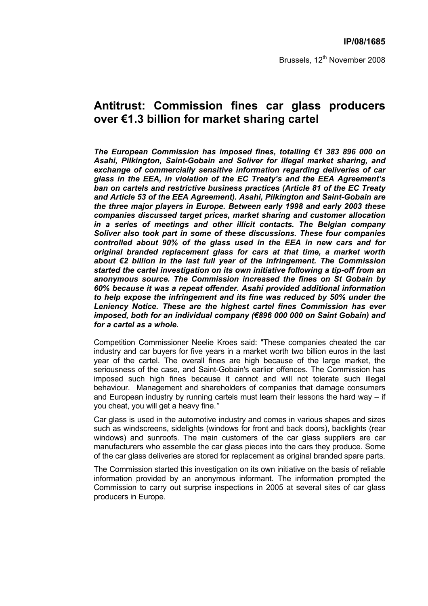Brussels, 12<sup>th</sup> November 2008

# **Antitrust: Commission fines car glass producers over €1.3 billion for market sharing cartel**

*The European Commission has imposed fines, totalling €1 383 896 000 on Asahi, Pilkington, Saint-Gobain and Soliver for illegal market sharing, and exchange of commercially sensitive information regarding deliveries of car glass in the EEA, in violation of the EC Treaty's and the EEA Agreement's ban on cartels and restrictive business practices (Article 81 of the EC Treaty and Article 53 of the EEA Agreement). Asahi, Pilkington and Saint-Gobain are the three major players in Europe. Between early 1998 and early 2003 these companies discussed target prices, market sharing and customer allocation in a series of meetings and other illicit contacts. The Belgian company Soliver also took part in some of these discussions. These four companies controlled about 90% of the glass used in the EEA in new cars and for original branded replacement glass for cars at that time, a market worth about €2 billion in the last full year of the infringement. The Commission started the cartel investigation on its own initiative following a tip-off from an anonymous source. The Commission increased the fines on St Gobain by 60% because it was a repeat offender. Asahi provided additional information to help expose the infringement and its fine was reduced by 50% under the Leniency Notice. These are the highest cartel fines Commission has ever imposed, both for an individual company (€896 000 000 on Saint Gobain) and for a cartel as a whole.* 

Competition Commissioner Neelie Kroes said: "These companies cheated the car industry and car buyers for five years in a market worth two billion euros in the last year of the cartel. The overall fines are high because of the large market, the seriousness of the case, and Saint-Gobain's earlier offences*.* The Commission has imposed such high fines because it cannot and will not tolerate such illegal behaviour. Management and shareholders of companies that damage consumers and European industry by running cartels must learn their lessons the hard way – if you cheat, you will get a heavy fine.*"*

Car glass is used in the automotive industry and comes in various shapes and sizes such as windscreens, sidelights (windows for front and back doors), backlights (rear windows) and sunroofs. The main customers of the car glass suppliers are car manufacturers who assemble the car glass pieces into the cars they produce. Some of the car glass deliveries are stored for replacement as original branded spare parts.

The Commission started this investigation on its own initiative on the basis of reliable information provided by an anonymous informant. The information prompted the Commission to carry out surprise inspections in 2005 at several sites of car glass producers in Europe.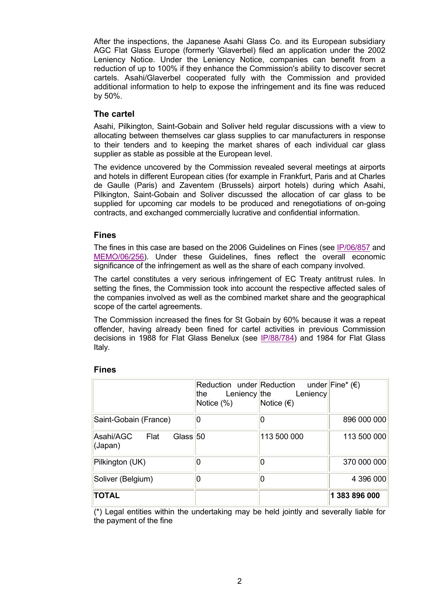After the inspections, the Japanese Asahi Glass Co. and its European subsidiary AGC Flat Glass Europe (formerly 'Glaverbel) filed an application under the 2002 Leniency Notice. Under the Leniency Notice, companies can benefit from a reduction of up to 100% if they enhance the Commission's ability to discover secret cartels. Asahi/Glaverbel cooperated fully with the Commission and provided additional information to help to expose the infringement and its fine was reduced by 50%.

### **The cartel**

Asahi, Pilkington, Saint-Gobain and Soliver held regular discussions with a view to allocating between themselves car glass supplies to car manufacturers in response to their tenders and to keeping the market shares of each individual car glass supplier as stable as possible at the European level.

The evidence uncovered by the Commission revealed several meetings at airports and hotels in different European cities (for example in Frankfurt, Paris and at Charles de Gaulle (Paris) and Zaventem (Brussels) airport hotels) during which Asahi, Pilkington, Saint-Gobain and Soliver discussed the allocation of car glass to be supplied for upcoming car models to be produced and renegotiations of on-going contracts, and exchanged commercially lucrative and confidential information.

## **Fines**

The fines in this case are based on the 2006 Guidelines on Fines (see IP/06/857 and MEMO/06/256). Under these Guidelines, fines reflect the overall economic significance of the infringement as well as the share of each company involved.

The cartel constitutes a very serious infringement of EC Treaty antitrust rules. In setting the fines, the Commission took into account the respective affected sales of the companies involved as well as the combined market share and the geographical scope of the cartel agreements.

The Commission increased the fines for St Gobain by 60% because it was a repeat offender, having already been fined for cartel activities in previous Commission decisions in 1988 for Flat Glass Benelux (see IP/88/784) and 1984 for Flat Glass Italy.

|                                         | the<br>Notice (%) | Reduction under Reduction under Fine* ( $\epsilon$ )<br>Leniency the Leniency<br>Notice $(\epsilon)$ |               |
|-----------------------------------------|-------------------|------------------------------------------------------------------------------------------------------|---------------|
| Saint-Gobain (France)                   | 0                 |                                                                                                      | 896 000 000   |
| Asahi/AGC Flat<br>Glass $50$<br>(Japan) |                   | 113 500 000                                                                                          | 113 500 000   |
| Pilkington (UK)                         |                   |                                                                                                      | 370 000 000   |
| Soliver (Belgium)                       |                   | 0                                                                                                    | 4 396 000     |
| <b>TOTAL</b>                            |                   |                                                                                                      | 1 383 896 000 |

#### **Fines**

(\*) Legal entities within the undertaking may be held jointly and severally liable for the payment of the fine